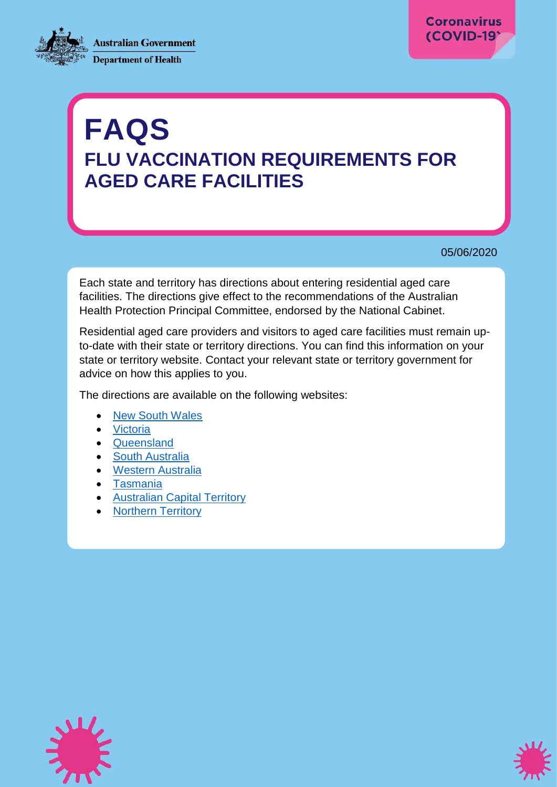**Australian Government Department of Health** 



# **FAQS FLU VACCINATION REQUIREMENTS FOR AGED CARE FACILITIES**

05/06/2020

Each state and territory has directions about entering residential aged care facilities. The directions give effect to the recommendations of the Australian Health Protection Principal Committee, endorsed by the National Cabinet.

Residential aged care providers and visitors to aged care facilities must remain upto-date with their state or territory directions. You can find this information on your state or territory website. Contact your relevant state or territory government for advice on how this applies to you.

The directions are available on the following websites:

- [New South Wales](https://www.health.nsw.gov.au/Infectious/covid-19/Pages/public-health-orders.aspx)
- [Victoria](https://www.dhhs.vic.gov.au/state-emergency)
- [Queensland](https://www.health.qld.gov.au/system-governance/legislation/cho-public-health-directions-under-expanded-public-health-act-powers/aged-care)
- [South Australia](https://www.covid-19.sa.gov.au/restrictions-and-responsibilities)
- [Western Australia](https://www.wa.gov.au/government/document-collections/covid-19-coronavirus-state-of-emergency-declarations)
- [Tasmania](https://coronavirus.tas.gov.au/resources)
- [Australian Capital Territory](https://www.covid19.act.gov.au/help-and-advice/public-health-directions)
- [Northern Territory](https://coronavirus.nt.gov.au/chief-health-officer-directions)



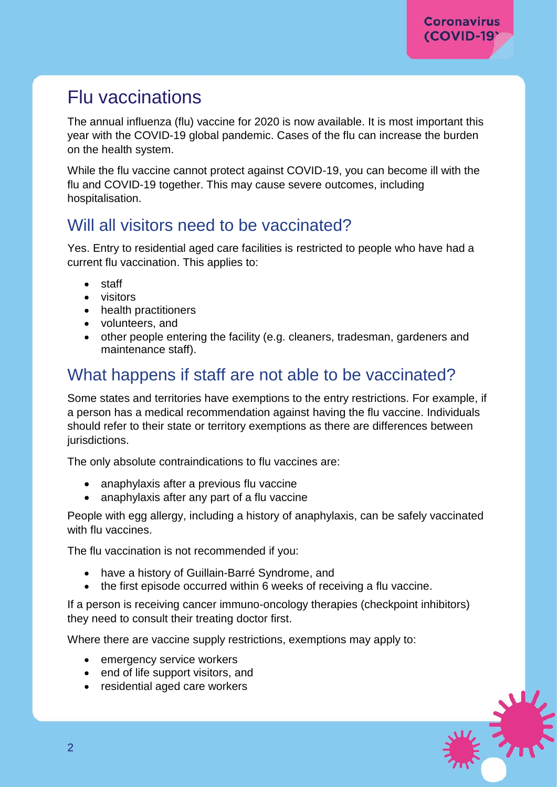# Flu vaccinations

The annual influenza (flu) vaccine for 2020 is now available. It is most important this year with the COVID-19 global pandemic. Cases of the flu can increase the burden on the health system.

While the flu vaccine cannot protect against COVID-19, you can become ill with the flu and COVID-19 together. This may cause severe outcomes, including hospitalisation.

## Will all visitors need to be vaccinated?

Yes. Entry to residential aged care facilities is restricted to people who have had a current flu vaccination. This applies to:

- staff
- visitors
- health practitioners
- volunteers, and
- other people entering the facility (e.g. cleaners, tradesman, gardeners and maintenance staff).

## What happens if staff are not able to be vaccinated?

Some states and territories have exemptions to the entry restrictions. For example, if a person has a medical recommendation against having the flu vaccine. Individuals should refer to their state or territory exemptions as there are differences between jurisdictions.

The only absolute contraindications to flu vaccines are:

- anaphylaxis after a previous flu vaccine
- anaphylaxis after any part of a flu vaccine

People with egg allergy, including a history of anaphylaxis, can be safely vaccinated with flu vaccines.

The flu vaccination is not recommended if you:

- have a history of Guillain-Barré Syndrome, and
- the first episode occurred within 6 weeks of receiving a flu vaccine.

If a person is receiving cancer immuno-oncology therapies (checkpoint inhibitors) they need to consult their treating doctor first.

Where there are vaccine supply restrictions, exemptions may apply to:

- emergency service workers
- end of life support visitors, and
- residential aged care workers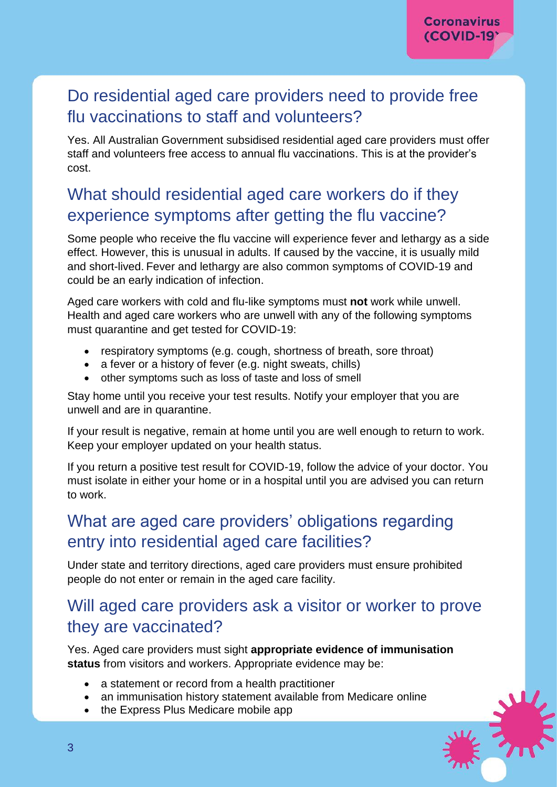## Do residential aged care providers need to provide free flu vaccinations to staff and volunteers?

Yes. All Australian Government subsidised residential aged care providers must offer staff and volunteers free access to annual flu vaccinations. This is at the provider's cost.

## What should residential aged care workers do if they experience symptoms after getting the flu vaccine?

Some people who receive the flu vaccine will experience fever and lethargy as a side effect. However, this is unusual in adults. If caused by the vaccine, it is usually mild and short-lived. Fever and lethargy are also common symptoms of COVID-19 and could be an early indication of infection.

Aged care workers with cold and flu-like symptoms must **not** work while unwell. Health and aged care workers who are unwell with any of the following symptoms must quarantine and get tested for COVID-19:

- respiratory symptoms (e.g. cough, shortness of breath, sore throat)
- a fever or a history of fever (e.g. night sweats, chills)
- other symptoms such as loss of taste and loss of smell

Stay home until you receive your test results. Notify your employer that you are unwell and are in quarantine.

If your result is negative, remain at home until you are well enough to return to work. Keep your employer updated on your health status.

If you return a positive test result for COVID-19, follow the advice of your doctor. You must isolate in either your home or in a hospital until you are advised you can return to work.

## What are aged care providers' obligations regarding entry into residential aged care facilities?

Under state and territory directions, aged care providers must ensure prohibited people do not enter or remain in the aged care facility.

## Will aged care providers ask a visitor or worker to prove they are vaccinated?

Yes. Aged care providers must sight **appropriate evidence of immunisation status** from visitors and workers. Appropriate evidence may be:

- a statement or record from a health practitioner
- an immunisation history statement available from Medicare online
- the Express Plus Medicare mobile app